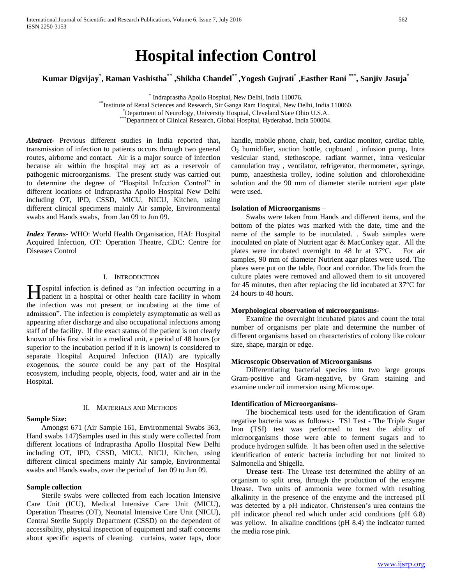# **Hospital infection Control**

**Kumar Digvijay\* , Raman Vashistha\*\* ,Shikha Chandel\*\* ,Yogesh Gujrati\* ,Easther Rani \*\*\*, Sanjiv Jasuja\***

\* Indraprastha Apollo Hospital, New Delhi, India 110076.

\*\*Institute of Renal Sciences and Research, Sir Ganga Ram Hospital, New Delhi, India 110060.

Expariment of Neurology, Carrelling Terms, and Terms and Solomont and Solomont and Solomont Clinical Research, Global Hospital, Hyderabad, India 500004.

*Abstract***-** Previous different studies in India reported that**,**  transmission of infection to patients occurs through two general routes*,* airborne and contact. Air is a major source of infection because air within the hospital may act as a reservoir of pathogenic microorganisms. The present study was carried out to determine the degree of "Hospital Infection Control" in different locations of Indraprastha Apollo Hospital New Delhi including OT, IPD, CSSD, MICU, NICU, Kitchen, using different clinical specimens mainly Air sample, Environmental swabs and Hands swabs, from Jan 09 to Jun 09.

*Index Terms*- WHO: World Health Organisation, HAI: Hospital Acquired Infection, OT: Operation Theatre, CDC: Centre for Diseases Control

## I. INTRODUCTION

ospital infection is defined as "an infection occurring in a **H**ospital infection is defined as "an infection occurring in a hospital or other health care facility in whom the infection was not present or incubating at the time of admission". The infection is completely asymptomatic as well as appearing after discharge and also occupational infections among staff of the facility. If the exact status of the patient is not clearly known of his first visit in a medical unit, a period of 48 hours (or superior to the incubation period if it is known) is considered to separate Hospital Acquired Infection (HAI) are typically exogenous, the source could be any part of the Hospital ecosystem, including people, objects, food, water and air in the Hospital.

## II. MATERIALS AND METHODS

## **Sample Size:**

 Amongst 671 (Air Sample 161, Environmental Swabs 363, Hand swabs 147)Samples used in this study were collected from different locations of Indraprastha Apollo Hospital New Delhi including OT, IPD, CSSD, MICU, NICU, Kitchen, using different clinical specimens mainly Air sample, Environmental swabs and Hands swabs, over the period of Jan 09 to Jun 09.

## **Sample collection**

 Sterile swabs were collected from each location Intensive Care Unit (ICU), Medical Intensive Care Unit (MICU), Operation Theatres (OT), Neonatal Intensive Care Unit (NICU), Central Sterile Supply Department (CSSD) on the dependent of accessibility, physical inspection of equipment and staff concerns about specific aspects of cleaning. curtains, water taps, door

handle, mobile phone, chair, bed, cardiac monitor, cardiac table,  $O<sub>2</sub>$  humidifier, suction bottle, cupboard, infusion pump, Intra vesicular stand, stethoscope, radiant warmer, intra vesicular cannulation tray , ventilator, refrigerator, thermometer, syringe, pump, anaesthesia trolley, iodine solution and chlorohexidine solution and the 90 mm of diameter sterile nutrient agar plate were used.

## **Isolation of Microorganisms** –

 Swabs were taken from Hands and different items, and the bottom of the plates was marked with the date, time and the name of the sample to be inoculated. . Swab samples were inoculated on plate of Nutrient agar & MacConkey agar. All the plates were incubated overnight to 48 hr at 37°C. For air samples, 90 mm of diameter Nutrient agar plates were used. The plates were put on the table, floor and corridor. The lids from the culture plates were removed and allowed them to sit uncovered for 45 minutes, then after replacing the lid incubated at 37°C for 24 hours to 48 hours.

## **Morphological observation of microorganisms-**

 Examine the overnight incubated plates and count the total number of organisms per plate and determine the number of different organisms based on characteristics of colony like colour size, shape, margin or edge.

## **Microscopic Observation of Microorganisms**

 Differentiating bacterial species into two large groups Gram-positive and Gram-negative, by Gram staining and examine under oil immersion using Microscope.

## **Identification of Microorganisms**-

 The biochemical tests used for the identification of Gram negative bacteria was as follows:- TSI Test - The Triple Sugar Iron (TSI) test was performed to test the ability of microorganisms those were able to ferment sugars and to produce hydrogen sulfide. It has been often used in the selective identification of enteric bacteria including but not limited to Salmonella and Shigella.

 **Urease test**- The Urease test determined the ability of an organism to split urea, through the production of the enzyme Urease. Two units of ammonia were formed with resulting alkalinity in the presence of the enzyme and the increased pH was detected by a pH indicator. Christensen's urea contains the pH indicator phenol red which under acid conditions (pH 6.8) was yellow. In alkaline conditions (pH 8.4) the indicator turned the media rose pink.

<sup>\*</sup>Department of Neurology, University Hospital, Cleveland State Ohio U.S.A.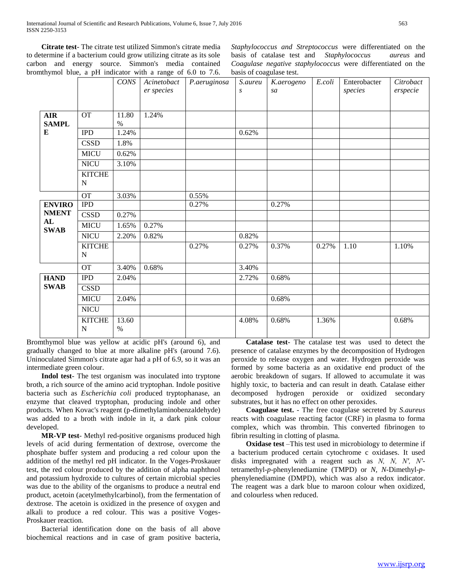**Citrate test**- The citrate test utilized Simmon's citrate media to determine if a bacterium could grow utilizing citrate as its sole carbon and energy source. Simmon's media contained bromthymol blue, a pH indicator with a range of 6.0 to 7.6.

*Staphylococcus and Streptococcus* were differentiated on the basis of catalase test and *Staphylococcus aureus* and *Coagulase negative staphylococcus* were differentiated on the basis of coagulase test.

|                                     |                              | CONS          | Acinetobact<br>er species | P.aeruginosa | S.aureu<br>S | K.aerogeno<br>sa | E.coli | Enterobacter<br>species | Citrobact<br>erspecie |
|-------------------------------------|------------------------------|---------------|---------------------------|--------------|--------------|------------------|--------|-------------------------|-----------------------|
| <b>AIR</b><br><b>SAMPL</b>          | <b>OT</b>                    | 11.80<br>$\%$ | 1.24%                     |              |              |                  |        |                         |                       |
| ${\bf E}$                           | <b>IPD</b><br><b>CSSD</b>    | 1.24%<br>1.8% |                           |              | 0.62%        |                  |        |                         |                       |
|                                     | <b>MICU</b>                  | 0.62%         |                           |              |              |                  |        |                         |                       |
|                                     | <b>NICU</b>                  | 3.10%         |                           |              |              |                  |        |                         |                       |
|                                     | <b>KITCHE</b><br>$\mathbf N$ |               |                           |              |              |                  |        |                         |                       |
|                                     | <b>OT</b>                    | 3.03%         |                           | 0.55%        |              |                  |        |                         |                       |
| <b>ENVIRO</b><br><b>NMENT</b><br>AL | <b>IPD</b>                   |               |                           | 0.27%        |              | 0.27%            |        |                         |                       |
|                                     | <b>CSSD</b>                  | 0.27%         |                           |              |              |                  |        |                         |                       |
| <b>SWAB</b>                         | <b>MICU</b>                  | 1.65%         | 0.27%                     |              |              |                  |        |                         |                       |
|                                     | <b>NICU</b>                  | 2.20%         | 0.82%                     |              | 0.82%        |                  |        |                         |                       |
|                                     | <b>KITCHE</b><br>$\mathbf N$ |               |                           | 0.27%        | 0.27%        | 0.37%            | 0.27%  | 1.10                    | 1.10%                 |
|                                     | <b>OT</b>                    | 3.40%         | 0.68%                     |              | 3.40%        |                  |        |                         |                       |
| <b>HAND</b><br><b>SWAB</b>          | <b>IPD</b>                   | 2.04%         |                           |              | 2.72%        | 0.68%            |        |                         |                       |
|                                     | <b>CSSD</b>                  |               |                           |              |              |                  |        |                         |                       |
|                                     | <b>MICU</b>                  | 2.04%         |                           |              |              | 0.68%            |        |                         |                       |
|                                     | <b>NICU</b>                  |               |                           |              |              |                  |        |                         |                       |
|                                     | <b>KITCHE</b><br>$\mathbf N$ | 13.60<br>$\%$ |                           |              | 4.08%        | 0.68%            | 1.36%  |                         | 0.68%                 |

Bromthymol blue was yellow at acidic pH's (around 6), and gradually changed to blue at more alkaline pH's (around 7.6). Uninoculated Simmon's citrate agar had a pH of 6.9, so it was an intermediate green colour.

 **Indol test**- The test organism was inoculated into tryptone broth, a rich source of the amino acid tryptophan. Indole positive bacteria such as *Escherichia coli* produced tryptophanase, an enzyme that cleaved tryptophan, producing indole and other products. When Kovac's reagent (p-dimethylaminobenzaldehyde) was added to a broth with indole in it, a dark pink colour developed.

 **MR-VP test**- Methyl red-positive organisms produced high levels of acid during fermentation of dextrose, overcome the phosphate buffer system and producing a red colour upon the addition of the methyl red pH indicator. In the Voges-Proskauer test, the red colour produced by the addition of alpha naphthnol and potassium hydroxide to cultures of certain microbial species was due to the ability of the organisms to produce a neutral end product, acetoin (acetylmethylcarbinol), from the fermentation of dextrose. The acetoin is oxidized in the presence of oxygen and alkali to produce a red colour. This was a positive Voges-Proskauer reaction.

 Bacterial identification done on the basis of all above biochemical reactions and in case of gram positive bacteria,

 **Catalase test**- The catalase test was used to detect the presence of catalase enzymes by the decomposition of Hydrogen peroxide to release oxygen and water. Hydrogen peroxide was formed by some bacteria as an oxidative end product of the aerobic breakdown of sugars. If allowed to accumulate it was highly toxic, to bacteria and can result in death. Catalase either decomposed hydrogen peroxide or oxidized secondary substrates, but it has no effect on other peroxides.

 **Coagulase test.** - The free coagulase secreted by *S.aureus*  reacts with coagulase reacting factor (CRF) in plasma to forma complex, which was thrombin. This converted fibrinogen to fibrin resulting in clotting of plasma.

 **Oxidase test** –This test used in microbiology to determine if a bacterium produced certain cytochrome c oxidases. It used disks impregnated with a reagent such as *N, N, N′, N′* tetramethyl-*p*-phenylenediamine (TMPD) or *N, N*-Dimethyl-*p*phenylenediamine (DMPD), which was also a redox indicator. The reagent was a dark blue to maroon colour when oxidized, and colourless when reduced.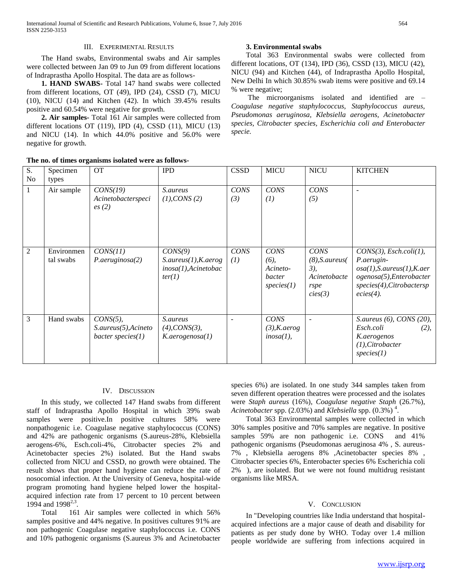## III. EXPERIMENTAL RESULTS

 The Hand swabs, Environmental swabs and Air samples were collected between Jan 09 to Jun 09 from different locations of Indraprastha Apollo Hospital. The data are as follows-

 **1. HAND SWABS-** Total 147 hand swabs were collected from different locations, OT (49), IPD (24), CSSD (7), MICU (10), NICU (14) and Kitchen (42). In which 39.45% results positive and 60.54% were negative for growth.

 **2. Air samples-** Total 161 Air samples were collected from different locations OT (119), IPD (4), CSSD (11), MICU (13) and NICU (14). In which 44.0% positive and 56.0% were negative for growth.

# **The no. of times organisms isolated were as follows-**

## **3. Environmental swabs**

 Total 363 Environmental swabs were collected from different locations, OT (134), IPD (36), CSSD (13), MICU (42), NICU (94) and Kitchen (44), of Indraprastha Apollo Hospital, New Delhi In which 30.85% swab items were positive and 69.14 % were negative;

 The microorganisms isolated and identified are – *Coagulase negative staphylococcus, Staphylococcus aureus, Pseudomonas aeruginosa, Klebsiella aerogens, Acinetobacter species, Citrobacter species, Escherichia coli and Enterobacter specie.* 

|                      |                         | THE HO, OF HIRES OF GALLISHIS ISOLATED WELE AS TOHOWS-       |                                                                        |                    |                                                            |                                                                                |                                                                                                                                                   |
|----------------------|-------------------------|--------------------------------------------------------------|------------------------------------------------------------------------|--------------------|------------------------------------------------------------|--------------------------------------------------------------------------------|---------------------------------------------------------------------------------------------------------------------------------------------------|
| S.<br>N <sub>o</sub> | Specimen<br>types       | <b>OT</b>                                                    | <b>IPD</b>                                                             | <b>CSSD</b>        | <b>MICU</b>                                                | <b>NICU</b>                                                                    | <b>KITCHEN</b>                                                                                                                                    |
| 1                    | Air sample              | CONS(19)<br>Acinetobacterspeci<br>es(2)                      | S.aureus<br>(1), CONS(2)                                               | <b>CONS</b><br>(3) | <b>CONS</b><br>(1)                                         | <b>CONS</b><br>(5)                                                             |                                                                                                                                                   |
| $\overline{2}$       | Environmen<br>tal swabs | CONS(11)<br>P. aeruginosa(2)                                 | CONS(9)<br>S. aureus(1), K. aerog<br>$inosa(1)$ , Acinetobac<br>ter(1) | <b>CONS</b><br>(1) | <b>CONS</b><br>$(6)$ ,<br>Acineto-<br>bacter<br>species(1) | <b>CONS</b><br>$(8)$ , S. aureus $($<br>3),<br>Acinetobacte<br>rspe<br>cies(3) | CONS(3), Esch. coli(1),<br>P.aerugin-<br>osa(1), S. aureus(1), K. aer<br>ogenosa(5), Enterobacter<br>$species(4)$ , Citrobactersp<br>$ecies(4)$ . |
| 3                    | Hand swabs              | $CONS(5)$ ,<br>S. aureus(5), Acineto<br>bacter species $(1)$ | S.aureus<br>(4), CONS(3),<br>K.aerogenous(1)                           |                    | CONS<br>$(3)$ , K.aerog<br>$inosa(1)$ ,                    |                                                                                | S. aureus $(6)$ , CONS $(20)$ ,<br>Esch.coli<br>(2),<br>K.aerogenos<br>$(1)$ , Citrobacter<br>species(1)                                          |

# IV. DISCUSSION

 In this study, we collected 147 Hand swabs from different staff of Indraprastha Apollo Hospital in which 39% swab samples were positive.In positive cultures 58% were nonpathogenic i.e. Coagulase negative staphylococcus (CONS) and 42% are pathogenic organisms (S.aureus-28%, Klebsiella aerogens-6%, Esch.coli-4%, Citrobacter species 2% and Acinetobacter species 2%) isolated. But the Hand swabs collected from NICU and CSSD, no growth were obtained. The result shows that proper hand hygiene can reduce the rate of nosocomial infection. At the University of Geneva, hospital-wide program promoting hand hygiene helped lower the hospitalacquired infection rate from 17 percent to 10 percent between 1994 and 1998<sup>2,3</sup>.

 Total 161 Air samples were collected in which 56% samples positive and 44% negative. In positives cultures 91% are non pathogenic Coagulase negative staphylococcus i.e. CONS and 10% pathogenic organisms (S.aureus 3% and Acinetobacter

species 6%) are isolated. In one study 344 samples taken from seven different operation theatres were processed and the isolates were *Staph aureus* (16%), *Coagulase negative Staph* (26.7%), *Acinetobacter* spp. (2.03%) and *Klebsiella* spp. (0.3%) <sup>4</sup> .

 Total 363 Environmental samples were collected in which 30% samples positive and 70% samples are negative. In positive samples 59% are non pathogenic i.e. CONS and 41% pathogenic organisms (Pseudomonas aeruginosa 4% , S. aureus-7% , Klebsiella aerogens 8% ,Acinetobacter species 8% , Citrobacter species 6%, Enterobacter species 6% Escherichia coli 2% ), are isolated. But we were not found multidrug resistant organisms like MRSA.

## V. CONCLUSION

 In "Developing countries like India understand that hospitalacquired infections are a major cause of death and disability for patients as per study done by WHO. Today over 1.4 million people worldwide are suffering from infections acquired in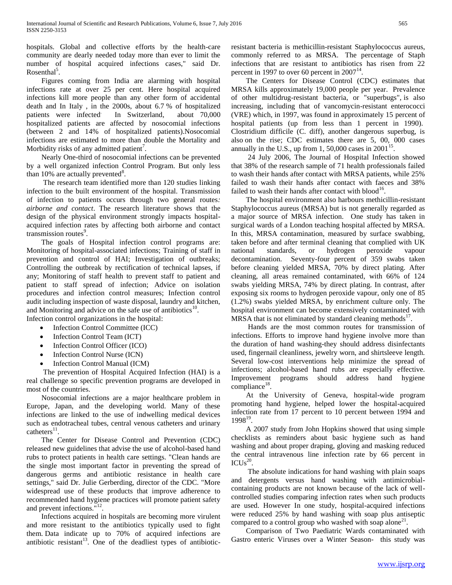hospitals. Global and collective efforts by the health-care community are dearly needed today more than ever to limit the number of hospital acquired infections cases," said Dr. Rosenthal<sup>5</sup>.

 Figures coming from India are alarming with hospital infections rate at over 25 per cent. Here hospital acquired infections kill more people than any other form of accidental death and In Italy , in the 2000s, about 6.7 % of hospitalized patients were infected. In Switzerland, about 70,000 hospitalized patients are affected by nosocomial infections (between 2 and 14% of hospitalized patients).Nosocomial infections are estimated to more than double the Mortality and Morbidity risks of any admitted patient<sup>7</sup>.

 Nearly One-third of nosocomial infections can be prevented by a well organized infection Control Program. But only less than  $10\%$  are actually prevented $8$ .

 The research team identified more than 120 studies linking infection to the built environment of the hospital. Transmission of infection to patients occurs through two general routes*: airborne and contact*. The research literature shows that the design of the physical environment strongly impacts hospitalacquired infection rates by affecting both airborne and contact transmission routes<sup>9</sup>.

 The goals of Hospital infection control programs are: Monitoring of hospital-associated infections; Training of staff in prevention and control of HAI; Investigation of outbreaks; Controlling the outbreak by rectification of technical lapses, if any; Monitoring of staff health to prevent staff to patient and patient to staff spread of infection; Advice on isolation procedures and infection control measures; Infection control audit including inspection of waste disposal, laundry and kitchen, and Monitoring and advice on the safe use of antibiotics $^{10}$ . Infection control organizations in the hospital:

- Infection Control Committee (ICC)
- Infection Control Team (ICT)
- Infection Control Officer (ICO)
- Infection Control Nurse (ICN)
- Infection Control Manual (ICM)

 The prevention of Hospital Acquired Infection (HAI) is a real challenge so specific prevention programs are developed in most of the countries.

 Nosocomial infections are a major healthcare problem in Europe, Japan, and the developing world. Many of these infections are linked to the use of indwelling medical devices such as endotracheal tubes, central venous catheters and urinary  $catheters<sup>11</sup>$ .

 The Center for Disease Control and Prevention (CDC) released new guidelines that advise the use of alcohol-based hand rubs to protect patients in health care settings. "Clean hands are the single most important factor in preventing the spread of dangerous germs and antibiotic resistance in health care settings," said Dr. Julie Gerberding, director of the CDC. "More widespread use of these products that improve adherence to recommended hand hygiene practices will promote patient safety and prevent infections."<sup>12</sup>.

 Infections acquired in hospitals are becoming more virulent and more resistant to the antibiotics typically used to fight them. Data indicate up to 70% of acquired infections are antibiotic resistant<sup>13</sup>. One of the deadliest types of antibioticresistant bacteria is methicillin-resistant Staphylococcus aureus, commonly referred to as MRSA. The percentage of Staph infections that are resistant to antibiotics has risen from 22 percent in 1997 to over 60 percent in  $2007<sup>14</sup>$ .

 The Centers for Disease Control (CDC) estimates that MRSA kills approximately 19,000 people per year. Prevalence of other multidrug-resistant bacteria, or "superbugs", is also increasing, including that of vancomycin-resistant enterococci (VRE) which, in 1997, was found in approximately 15 percent of hospital patients (up from less than 1 percent in 1990). Clostridium difficile (C. diff), another dangerous superbug, is also on the rise; CDC estimates there are 5, 00, 000 cases annually in the U.S., up from 1, 50,000 cases in  $2001^{15}$ .

 24 July 2006, The Journal of Hospital Infection showed that 38% of the research sample of 71 health professionals failed to wash their hands after contact with MRSA patients, while 25% failed to wash their hands after contact with faeces and 38% failed to wash their hands after contact with  $b$ lood<sup>16</sup>.

 The hospital environment also harbours methicillin-resistant Staphylococcus aureus (MRSA) but is not generally regarded as a major source of MRSA infection. One study has taken in surgical wards of a London teaching hospital affected by MRSA. In this, MRSA contamination, measured by surface swabbing, taken before and after terminal cleaning that complied with UK national standards, or hydrogen peroxide vapour decontamination. Seventy-four percent of 359 swabs taken before cleaning yielded MRSA, 70% by direct plating. After cleaning, all areas remained contaminated, with 66% of 124 swabs yielding MRSA, 74% by direct plating. In contrast, after exposing six rooms to hydrogen peroxide vapour, only one of 85 (1.2%) swabs yielded MRSA, by enrichment culture only. The hospital environment can become extensively contaminated with  $MRSA$  that is not eliminated by standard cleaning methods<sup>17</sup>.

 Hands are the most common routes for transmission of infections. Efforts to improve hand hygiene involve more than the duration of hand washing-they should address disinfectants used, fingernail cleanliness, jewelry worn, and shirtsleeve length. Several low-cost interventions help minimize the spread of infections; alcohol-based hand rubs are especially effective. Improvement programs should address hand hygiene  $compliance<sup>18</sup>$ .

 At the University of Geneva, hospital-wide program promoting hand hygiene, helped lower the hospital-acquired infection rate from 17 percent to 10 percent between 1994 and 1998<sup>19</sup>.

 A 2007 study from John Hopkins showed that using simple checklists as reminders about basic hygiene such as hand washing and about proper draping, gloving and masking reduced the central intravenous line infection rate by 66 percent in  $ICUs<sup>20</sup>$ .

 The absolute indications for hand washing with plain soaps and detergents versus hand washing with antimicrobialcontaining products are not known because of the lack of wellcontrolled studies comparing infection rates when such products are used. However In one study, hospital-acquired infections were reduced 25% by hand washing with soap plus antiseptic compared to a control group who washed with soap alone<sup>21</sup>.

 Comparison of Two Paediatric Wards contaminated with Gastro enteric Viruses over a Winter Season- this study was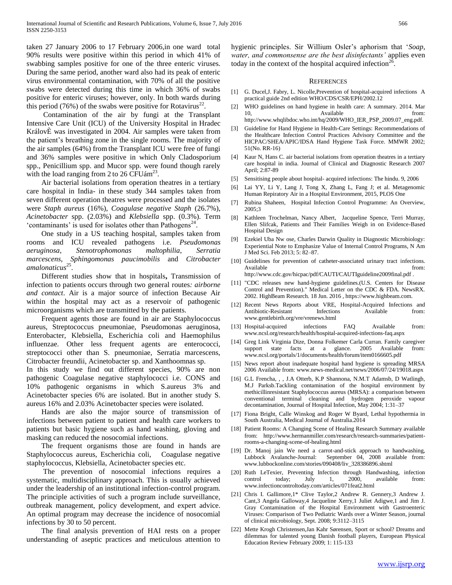taken 27 January 2006 to 17 February 2006,in one ward total 90% results were positive within this period in which 41% of swabbing samples positive for one of the three enteric viruses. During the same period, another ward also had its peak of enteric virus environmental contamination, with 70% of all the positive swabs were detected during this time in which 36% of swabs positive for enteric viruses; however, only. In both wards during this period (76%) of the swabs were positive for Rotavirus<sup>22</sup>.

 Contamination of the air by fungi at the Transplant Intensive Care Unit (ICU) of the University Hospital in Hradec KrálovÈ was investigated in 2004. Air samples were taken from the patient's breathing zone in the single rooms. The majority of the air samples (64%) from the Transplant ICU were free of fungi and 36% samples were positive in which Only Cladosporium spp., Penicillium spp. and Mucor spp. were found though rarely with the load ranging from 2 to 26  $\text{CFUám}^{23}$ .

 Air bacterial isolations from operation theatres in a tertiary care hospital in India- in these study 344 samples taken from seven different operation theatres were processed and the isolates were *Staph aureus* (16%), *Coagulase negative Staph* (26.7%), *Acinetobacter* spp. (2.03%) and *Klebsiella* spp. (0.3%). Term 'contaminants' is used for isolates other than  $\overline{Pathogens}^{24}$ .

 One study in a US teaching hospital, samples taken from rooms and ICU revealed pathogens i.e. *Pseudomonas aeruginosa*, *Stenotrophomonas maltophilia*, *Serratia marcescens*, *Sphingomonas paucimobilis* and *Citrobacter*  amalonaticus<sup>25</sup>.

 Different studies show that in hospitals**,** Transmission of infection to patients occurs through two general routes*: airborne and contact*. Air is a major source of infection Because Air within the hospital may act as a reservoir of pathogenic microorganisms which are transmitted by the patients.

 Frequent agents those are found in air are Staphylococcus aureus, Streptococcus pneumoniae, Pseudomonas aeruginosa, Enterobacter, Klebsiella, Escherichia coli and Haemophilus influenzae. Other less frequent agents are enterococci, streptococci other than S. pneumoniae, Serratia marcescens, Citrobacter freundii, Acinetobacter sp. and Xanthoomnas sp.

In this study we find out different species, 90% are non pathogenic Coagulase negative staphylococci i.e. CONS and 10% pathogenic organisms in which S.aureus 3% and Acinetobacter species 6% are isolated. But in another study S. aureus 16% and 2.03% Acinetobacter species were isolated.

 Hands are also the major source of transmission of infections between patient to patient and health care workers to patients but basic hygiene such as hand washing, gloving and masking can reduced the nosocomial infections.

 The frequent organisms those are found in hands are Staphylococcus aureus, Escherichia coli, Coagulase negative staphylococcus, Klebsiella, Acinetobacter species etc.

 The prevention of nosocomial infections requires a systematic, multidisciplinary approach. This is usually achieved under the leadership of an institutional infection-control program. The principle activities of such a program include surveillance, outbreak management, policy development, and expert advice. An optimal program may decrease the incidence of nosocomial infections by 30 to 50 percent.

 The final analysis prevention of HAI rests on a proper understanding of aseptic practices and meticulous attention to hygienic principles. Sir Willium Osler's aphorism that '*Soap, water, and commonsense are the best disinfectants'* applies even today in the context of the hospital acquired infection<sup>26</sup>.

#### **REFERENCES**

- [1] G. Ducel, J. Fabry, L. Nicolle, Prevention of hospital-acquired infections A practical guide 2nd edition WHO/CDS/CSR/EPH/2002.12
- [2] WHO guidelines on hand hygiene in health care: A summary. 2014. Mar 10, Available from: http://www.whqlibdoc.who.int/hq/2009/WHO\_IER\_PSP\_2009.07\_eng.pdf.
- [3] Guideline for Hand Hygiene in Health-Care Settings: Recommendations of the Healthcare Infection Control Practices Advisory Committee and the HICPAC/SHEA/APIC/IDSA Hand Hygiene Task Force. MMWR 2002; 51(No. RR-16)
- [4] Kaur N, Hans C. air bacterial isolations from operation theatres in a tertiary care hospital in india. Journal of Clinical and Diagnostic Research 2007 April; 2:87-89
- [5] Sensitising people about hospital- acquired infections: The hindu. 9, 2006
- [6] Lai YY, Li Y, Lang J, Tong X, Zhang L, Fang J; et al. Metagenomic Human Repiratory Air in a Hospital Environment, 2015, PLOS One
- [7] Rubina Shaheen, Hospital Infection Control Programme: An Overview, 2005;3
- [8] Kathleen Trochelman, Nancy Albert, Jacqueline Spence, Terri Murray, Ellen Slifcak, Patients and Their Families Weigh in on Evidence-Based Hospital Design
- [9] Ezekiel Uba Nw ose, Charles Darwin Quality in Diagnostic Microbiology: Experiential Note to Emphasize Value of Internal Control Programs, N Am J Med Sci. Feb 2013; 5: 82–87.
- [10] Guidelines for prevention of catheter-associated urinary tract infections. Available from: http://www.cdc.gov/hicpac/pdf/CAUTI/CAUTIguideline2009final.pdf .
- [11] "CDC releases new hand-hygiene guidelines.(U.S. Centers for Disease Control and Prevention)." Medical Letter on the CDC & FDA. NewsRX. 2002. HighBeam Research. 18 Jun. 2016 , https://www.highbeam.com.
- [12] Recent News Reports about VRE, Hospital-Acquired Infections and Antibiotic-Resistant Infections Available from: www.gentlebirth.org/vre/vrenews.html
- [13] Hospital-acquired infections FAQ Available from: www.ncsl.org/research/health/hospital-acquired-infections-faq.aspx
- [14] Greg Link Virginia Dize, Donna Folkemer Carla Curran. Family caregiver support state facts at a glance. 2005 Available from: www.ncsl.org/portals/1/documents/health/forum/item0166605.pdf
- [15] News report about inadequate hospital hand hygiene is spreading MRSA 2006 Available from: www.news-medical.net/news/2006/07/24/19018.aspx
- [16] G.L Frencha, , , J.A Otterb, K.P Shannona, N.M.T Adamsb, D Watlingb, M.J Parksb.Tackling contamination of the hospital environment by methicillinresistant Staphylococcus aureus (MRSA): a comparison between conventional terminal cleaning and hydrogen peroxide vapour decontamination, Journal of Hospital Infection, May 2004; 1:31–37
- [17] Fiona Bright, Calle Winskog and Roger W Byard, Lethal hypothermia in South Australia, Medical Journal of Australia.2014
- [18] Patient Rooms: A Changing Scene of Healing Research Summary available from: http://www.hermanmiller.com/research/research-summaries/patientrooms-a-changing-scene-of-healing.html
- [19] Dr. Manoj jain We need a carrot-and-stick approach to handwashing, Lubbock Avalanche-Journal: September 04, 2008 available from: www.lubbockonline.com/stories/090408/liv\_328386896.shtml
- [20] Ruth LeTexier, Preventing Infection through Handwashing, infection control today; July 1, 2000, available from: www.infectioncontroltoday.com/articles/071feat2.html
- [21] Chris I. Gallimore,1\* Clive Taylor,2 Andrew R. Gennery,3 Andrew J. Cant,3 Angela Galloway,4 Jacqueline Xerry,1 Juliet Adigwe,1 and Jim J. Gray Contamination of the Hospital Environment with Gastroenteric Viruses: Comparison of Two Pediatric Wards over a Winter Season, journal of clinical microbiology, Sept. 2008; 9:3112–3115
- [22] Mette Krogh Christensen,Jan Kahr Sørensen, Sport or school? Dreams and dilemmas for talented young Danish football players, European Physical Education Review February 2009; 1: 115-133